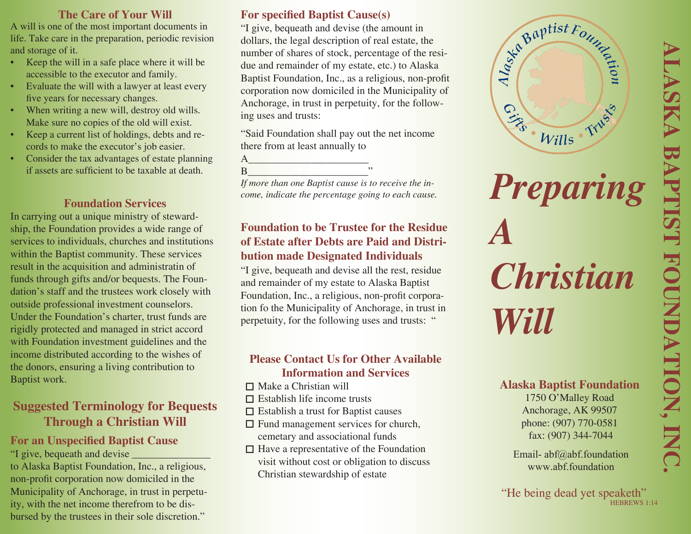#### **The Care of Your Will**

A will is one of the most important documents in life. Take care in the preparation, periodic revision and storage of it.

- Keep the will in a safe place where it will be accessible to the executor and family.
- Evaluate the will with a lawyer at least every five years for necessary changes.
- When writing a new will, destroy old wills. Make sure no copies of the old will exist.
- Keep a current list of holdings, debts and records to make the executor's job easier.
- Consider the tax advantages of estate planning if assets are sufficient to be taxable at death.

## **Foundation Services**

In carrying out a unique ministry of stewardship, the Foundation provides a wide range of services to individuals, churches and institutions within the Baptist community. These services result in the acquisition and administratin of funds through gifts and/or bequests. The Foundation's staff and the trustees work closely with outside professional investment counselors. Under the Foundation's charter, trust funds are rigidly protected and managed in strict accord with Foundation investment guidelines and the income distributed according to the wishes of the donors, ensuring a living contribution to Baptist work.

# **Suggested Terminology for Bequests Through a Christian Will**

#### **For an Unspecified Baptist Cause** "I give, bequeath and devise \_\_\_\_\_\_\_\_\_\_\_\_\_\_\_

to Alaska Baptist Foundation, Inc., a religious, non-profit corporation now domiciled in the Municipality of Anchorage, in trust in perpetuity, with the net income therefrom to be disbursed by the trustees in their sole discretion."

## **For specified Baptist Cause(s)**

"I give, bequeath and devise (the amount in dollars, the legal description of real estate, the number of shares of stock, percentage of the residue and remainder of my estate, etc.) to Alaska Baptist Foundation, Inc., as a religious, non-profit corporation now domiciled in the Municipality of Anchorage, in trust in perpetuity, for the following uses and trusts:

"Said Foundation shall pay out the net income there from at least annually to

 $\overline{A}$ B\_\_\_\_\_\_\_\_\_\_\_\_\_\_\_\_\_\_\_\_\_\_\_"

*If more than one Baptist cause is to receive the income, indicate the percentage going to each cause.*

## **Foundation to be Trustee for the Residue of Estate after Debts are Paid and Distribution made Designated Individuals**

"I give, bequeath and devise all the rest, residue and remainder of my estate to Alaska Baptist Foundation, Inc., a religious, non-profit corporation fo the Municipality of Anchorage, in trust in perpetuity, for the following uses and trusts: "

#### **Please Contact Us for Other Available Information and Services**

- Make a Christian will
- $\square$  Establish life income trusts
- Establish a trust for Baptist causes
- $\Box$  Fund management services for church, cemetary and associational funds
- $\Box$  Have a representative of the Foundation visit without cost or obligation to discuss Christian stewardship of estate



# *Preparing A Christian Will*

# **Alaska Baptist Foundation**

1750 O'Malley Road Anchorage, AK 99507 phone: (907) 770-0581 fax: (907) 344-7044

Email- abf@abf.foundation www.abf.foundation

"He being dead yet speaketh" HEBREWS 1:14